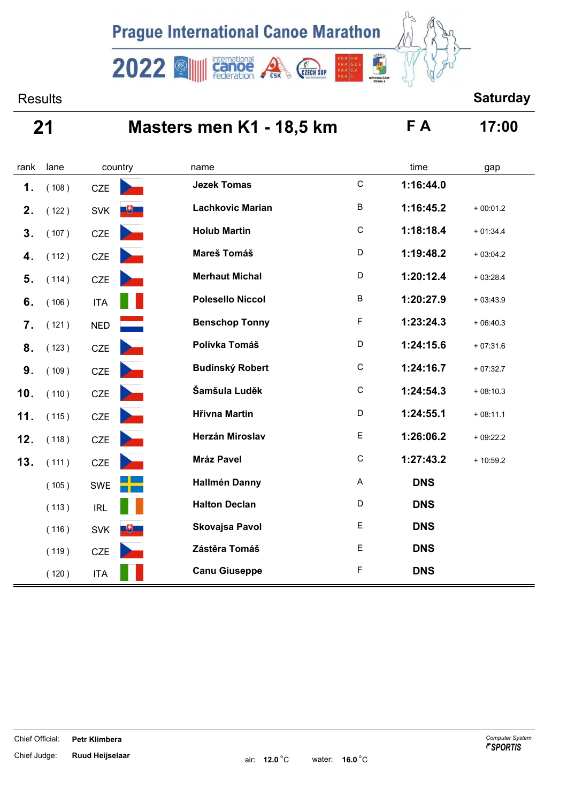

international<br>Canoe<br>federation

 $2022$ 

## Results **Saturday**

# **21 Masters men K1 - 18,5 km F A 17:00**

**CSK** 

CZECH SUP

| rank | lane  | country    | name                           |                           | time       | gap        |
|------|-------|------------|--------------------------------|---------------------------|------------|------------|
| 1.   | (108) | <b>CZE</b> | <b>Jezek Tomas</b>             | $\mathsf C$               | 1:16:44.0  |            |
| 2.   | (122) | <b>SVK</b> | <b>Lachkovic Marian</b><br>$+$ | $\sf B$                   | 1:16:45.2  | $+00:01.2$ |
| 3.   | (107) | CZE        | <b>Holub Martin</b>            | $\mathsf C$               | 1:18:18.4  | $+01:34.4$ |
| 4.   | (112) | CZE        | Mareš Tomáš                    | D                         | 1:19:48.2  | $+03:04.2$ |
| 5.   | (114) | CZE        | <b>Merhaut Michal</b>          | D                         | 1:20:12.4  | $+03:28.4$ |
| 6.   | (106) | <b>ITA</b> | <b>Polesello Niccol</b>        | $\sf B$                   | 1:20:27.9  | $+03:43.9$ |
| 7.   | (121) | <b>NED</b> | <b>Benschop Tonny</b>          | $\mathsf F$               | 1:23:24.3  | $+06:40.3$ |
| 8.   | (123) | CZE        | Polívka Tomáš                  | D                         | 1:24:15.6  | $+07:31.6$ |
| 9.   | (109) | CZE        | <b>Budínský Robert</b>         | $\mathsf C$               | 1:24:16.7  | $+07:32.7$ |
| 10.  | (110) | <b>CZE</b> | Šamšula Luděk                  | $\mathsf C$               | 1:24:54.3  | $+08:10.3$ |
| 11.  | (115) | <b>CZE</b> | <b>Hřivna Martin</b>           | D                         | 1:24:55.1  | $+08:11.1$ |
| 12.  | (118) | <b>CZE</b> | Herzán Miroslav                | E                         | 1:26:06.2  | $+09:22.2$ |
| 13.  | (111) | CZE        | Mráz Pavel                     | $\mathsf C$               | 1:27:43.2  | $+10:59.2$ |
|      | (105) | SWE        | <b>Hallmén Danny</b>           | $\boldsymbol{\mathsf{A}}$ | <b>DNS</b> |            |
|      | (113) | <b>IRL</b> | <b>Halton Declan</b>           | $\mathsf D$               | <b>DNS</b> |            |
|      | (116) | <b>SVK</b> | Skovajsa Pavol<br>$+$          | E                         | <b>DNS</b> |            |
|      | (119) | <b>CZE</b> | Zástěra Tomáš                  | E                         | <b>DNS</b> |            |
|      | (120) | <b>ITA</b> | <b>Canu Giuseppe</b>           | F                         | <b>DNS</b> |            |